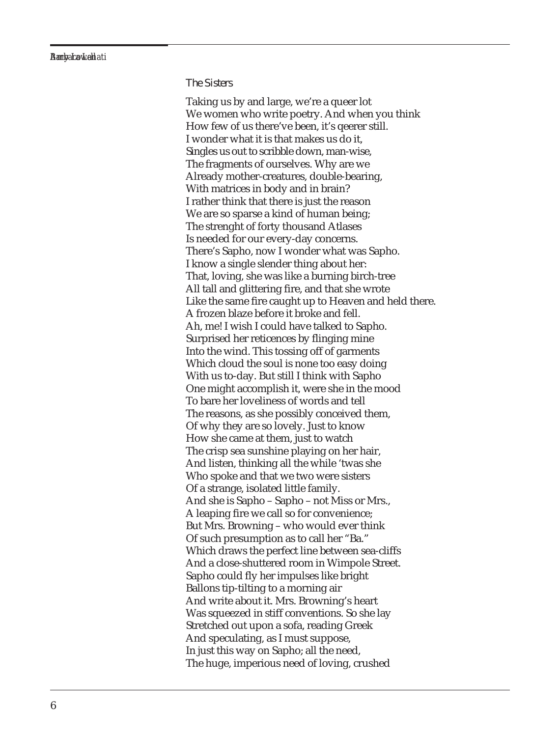## *Barbara Lanati Amy Lowell*

## **The Sisters**

Taking us by and large, we're a queer lot We women who write poetry. And when you think How few of us there've been, it's qeerer still. I wonder what it is that makes us do it, Singles us out to scribble down, man-wise, The fragments of ourselves. Why are we Already mother-creatures, double-bearing, With matrices in body and in brain? I rather think that there is just the reason We are so sparse a kind of human being; The strenght of forty thousand Atlases Is needed for our every-day concerns. There's Sapho, now I wonder what was Sapho. I know a single slender thing about her: That, loving, she was like a burning birch-tree All tall and glittering fire, and that she wrote Like the same fire caught up to Heaven and held there. A frozen blaze before it broke and fell. Ah, me! I wish I could have talked to Sapho. Surprised her reticences by flinging mine Into the wind. This tossing off of garments Which cloud the soul is none too easy doing With us to-day. But still I think with Sapho One might accomplish it, were she in the mood To bare her loveliness of words and tell The reasons, as she possibly conceived them, Of why they are so lovely. Just to know How she came at them, just to watch The crisp sea sunshine playing on her hair, And listen, thinking all the while 'twas she Who spoke and that we two were sisters Of a strange, isolated little family. And she is Sapho – Sapho – not Miss or Mrs., A leaping fire we call so for convenience; But Mrs. Browning – who would ever think Of such presumption as to call her "Ba." Which draws the perfect line between sea-cliffs And a close-shuttered room in Wimpole Street. Sapho could fly her impulses like bright Ballons tip-tilting to a morning air And write about it. Mrs. Browning's heart Was squeezed in stiff conventions. So she lay Stretched out upon a sofa, reading Greek And speculating, as I must suppose, In just this way on Sapho; all the need, The huge, imperious need of loving, crushed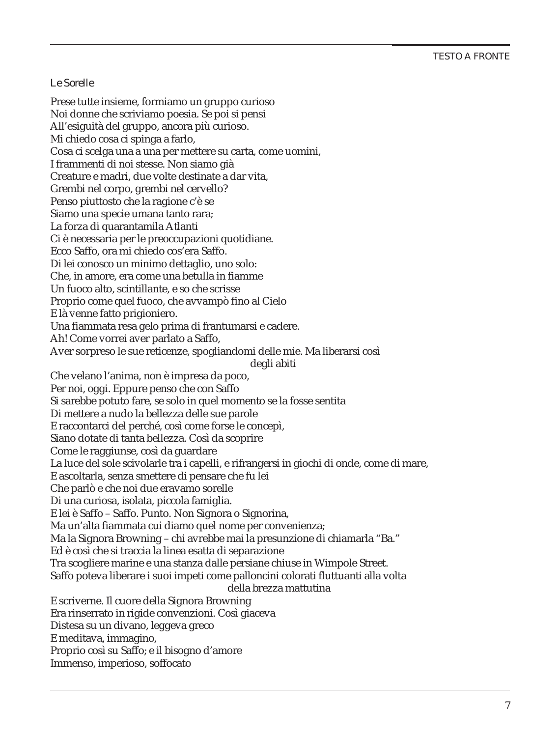## **Le Sorelle**

Prese tutte insieme, formiamo un gruppo curioso Noi donne che scriviamo poesia. Se poi si pensi All'esiguità del gruppo, ancora più curioso. Mi chiedo cosa ci spinga a farlo, Cosa ci scelga una a una per mettere su carta, come uomini, I frammenti di noi stesse. Non siamo già Creature e madri, due volte destinate a dar vita, Grembi nel corpo, grembi nel cervello? Penso piuttosto che la ragione c'è se Siamo una specie umana tanto rara; La forza di quarantamila Atlanti Ci è necessaria per le preoccupazioni quotidiane. Ecco Saffo, ora mi chiedo cos'era Saffo. Di lei conosco un minimo dettaglio, uno solo: Che, in amore, era come una betulla in fiamme Un fuoco alto, scintillante, e so che scrisse Proprio come quel fuoco, che avvampò fino al Cielo E là venne fatto prigioniero. Una fiammata resa gelo prima di frantumarsi e cadere. Ah! Come vorrei aver parlato a Saffo, Aver sorpreso le sue reticenze, spogliandomi delle mie. Ma liberarsi così degli abiti Che velano l'anima, non è impresa da poco, Per noi, oggi. Eppure penso che con Saffo Si sarebbe potuto fare, se solo in quel momento se la fosse sentita Di mettere a nudo la bellezza delle sue parole E raccontarci del perché, così come forse le concepì, Siano dotate di tanta bellezza. Così da scoprire Come le raggiunse, così da guardare La luce del sole scivolarle tra i capelli, e rifrangersi in giochi di onde, come di mare, E ascoltarla, senza smettere di pensare che fu lei Che parlò e che noi due eravamo sorelle Di una curiosa, isolata, piccola famiglia. E lei è Saffo – Saffo. Punto. Non Signora o Signorina, Ma un'alta fiammata cui diamo quel nome per convenienza; Ma la Signora Browning – chi avrebbe mai la presunzione di chiamarla "Ba." Ed è così che si traccia la linea esatta di separazione Tra scogliere marine e una stanza dalle persiane chiuse in Wimpole Street. Saffo poteva liberare i suoi impeti come palloncini colorati fluttuanti alla volta della brezza mattutina E scriverne. Il cuore della Signora Browning Era rinserrato in rigide convenzioni. Così giaceva Distesa su un divano, leggeva greco E meditava, immagino, Proprio così su Saffo; e il bisogno d'amore Immenso, imperioso, soffocato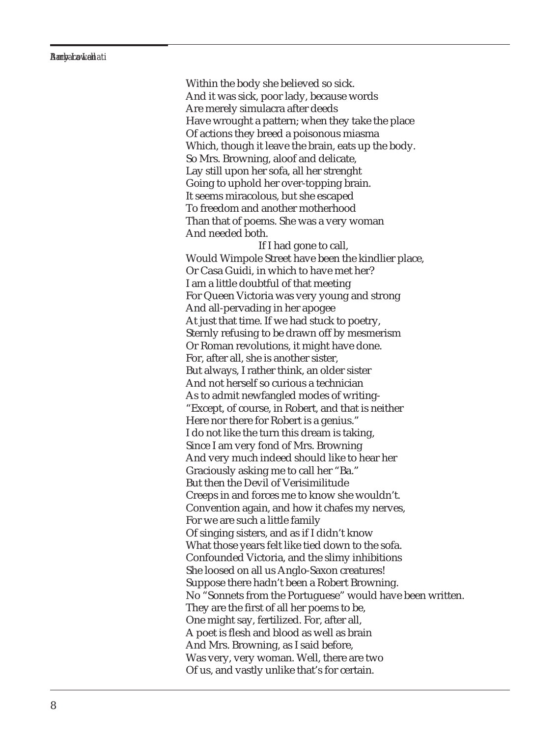Within the body she believed so sick. And it was sick, poor lady, because words Are merely simulacra after deeds Have wrought a pattern; when they take the place Of actions they breed a poisonous miasma Which, though it leave the brain, eats up the body. So Mrs. Browning, aloof and delicate, Lay still upon her sofa, all her strenght Going to uphold her over-topping brain. It seems miracolous, but she escaped To freedom and another motherhood Than that of poems. She was a very woman And needed both.

 If I had gone to call, Would Wimpole Street have been the kindlier place, Or Casa Guidi, in which to have met her? I am a little doubtful of that meeting For Queen Victoria was very young and strong And all-pervading in her apogee At just that time. If we had stuck to poetry, Sternly refusing to be drawn off by mesmerism Or Roman revolutions, it might have done. For, after all, she is another sister, But always, I rather think, an older sister And not herself so curious a technician As to admit newfangled modes of writing- "Except, of course, in Robert, and that is neither Here nor there for Robert is a genius." I do not like the turn this dream is taking, Since I am very fond of Mrs. Browning And very much indeed should like to hear her Graciously asking me to call her "Ba." But then the Devil of Verisimilitude Creeps in and forces me to know she wouldn't. Convention again, and how it chafes my nerves, For we are such a little family Of singing sisters, and as if I didn't know What those years felt like tied down to the sofa. Confounded Victoria, and the slimy inhibitions She loosed on all us Anglo-Saxon creatures! Suppose there hadn't been a Robert Browning. No "Sonnets from the Portuguese" would have been written. They are the first of all her poems to be, One might say, fertilized. For, after all, A poet is flesh and blood as well as brain And Mrs. Browning, as I said before, Was very, very woman. Well, there are two Of us, and vastly unlike that's for certain.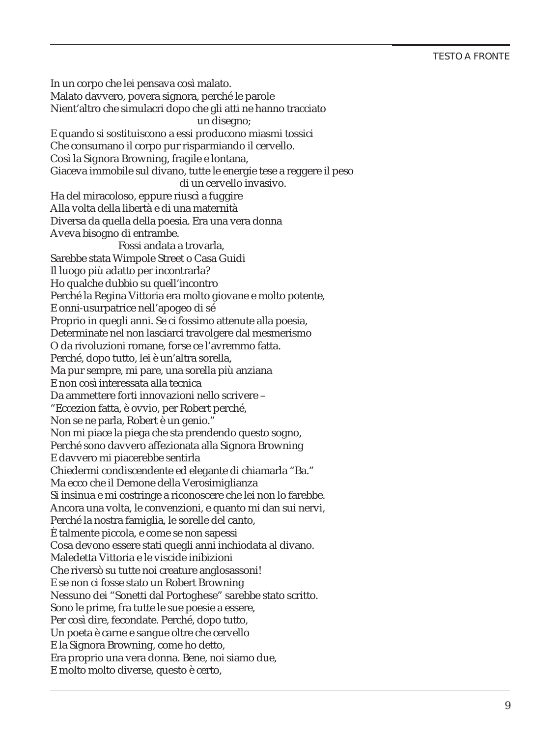In un corpo che lei pensava così malato. Malato davvero, povera signora, perché le parole Nient'altro che simulacri dopo che gli atti ne hanno tracciato un disegno; E quando si sostituiscono a essi producono miasmi tossici Che consumano il corpo pur risparmiando il cervello. Così la Signora Browning, fragile e lontana, Giaceva immobile sul divano, tutte le energie tese a reggere il peso di un cervello invasivo. Ha del miracoloso, eppure riuscì a fuggire Alla volta della libertà e di una maternità Diversa da quella della poesia. Era una vera donna Aveva bisogno di entrambe. Fossi andata a trovarla, Sarebbe stata Wimpole Street o Casa Guidi Il luogo più adatto per incontrarla? Ho qualche dubbio su quell'incontro Perché la Regina Vittoria era molto giovane e molto potente, E onni-usurpatrice nell'apogeo di sé Proprio in quegli anni. Se ci fossimo attenute alla poesia, Determinate nel non lasciarci travolgere dal mesmerismo O da rivoluzioni romane, forse ce l'avremmo fatta. Perché, dopo tutto, lei è un'altra sorella, Ma pur sempre, mi pare, una sorella più anziana E non così interessata alla tecnica Da ammettere forti innovazioni nello scrivere – "Eccezion fatta, è ovvio, per Robert perché, Non se ne parla, Robert è un genio." Non mi piace la piega che sta prendendo questo sogno, Perché sono davvero affezionata alla Signora Browning E davvero mi piacerebbe sentirla Chiedermi condiscendente ed elegante di chiamarla "Ba." Ma ecco che il Demone della Verosimiglianza Si insinua e mi costringe a riconoscere che lei non lo farebbe. Ancora una volta, le convenzioni, e quanto mi dan sui nervi, Perché la nostra famiglia, le sorelle del canto, È talmente piccola, e come se non sapessi Cosa devono essere stati quegli anni inchiodata al divano. Maledetta Vittoria e le viscide inibizioni Che riversò su tutte noi creature anglosassoni! E se non ci fosse stato un Robert Browning Nessuno dei "Sonetti dal Portoghese" sarebbe stato scritto. Sono le prime, fra tutte le sue poesie a essere, Per così dire, fecondate. Perché, dopo tutto, Un poeta è carne e sangue oltre che cervello E la Signora Browning, come ho detto, Era proprio una vera donna. Bene, noi siamo due, E molto molto diverse, questo è certo,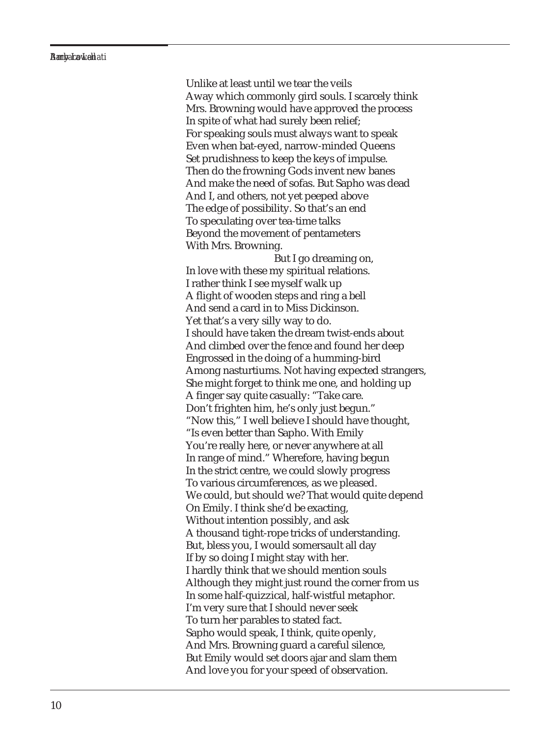Unlike at least until we tear the veils Away which commonly gird souls. I scarcely think Mrs. Browning would have approved the process In spite of what had surely been relief; For speaking souls must always want to speak Even when bat-eyed, narrow-minded Queens Set prudishness to keep the keys of impulse. Then do the frowning Gods invent new banes And make the need of sofas. But Sapho was dead And I, and others, not yet peeped above The edge of possibility. So that's an end To speculating over tea-time talks Beyond the movement of pentameters With Mrs. Browning. But I go dreaming on, In love with these my spiritual relations. I rather think I see myself walk up A flight of wooden steps and ring a bell And send a card in to Miss Dickinson. Yet that's a very silly way to do. I should have taken the dream twist-ends about And climbed over the fence and found her deep Engrossed in the doing of a humming-bird Among nasturtiums. Not having expected strangers, She might forget to think me one, and holding up A finger say quite casually: "Take care. Don't frighten him, he's only just begun." "Now this," I well believe I should have thought, "Is even better than Sapho. With Emily You're really here, or never anywhere at all In range of mind." Wherefore, having begun In the strict centre, we could slowly progress To various circumferences, as we pleased. We could, but should we? That would quite depend On Emily. I think she'd be exacting, Without intention possibly, and ask A thousand tight-rope tricks of understanding. But, bless you, I would somersault all day If by so doing I might stay with her. I hardly think that we should mention souls Although they might just round the corner from us In some half-quizzical, half-wistful metaphor. I'm very sure that I should never seek To turn her parables to stated fact. Sapho would speak, I think, quite openly, And Mrs. Browning guard a careful silence, But Emily would set doors ajar and slam them And love you for your speed of observation.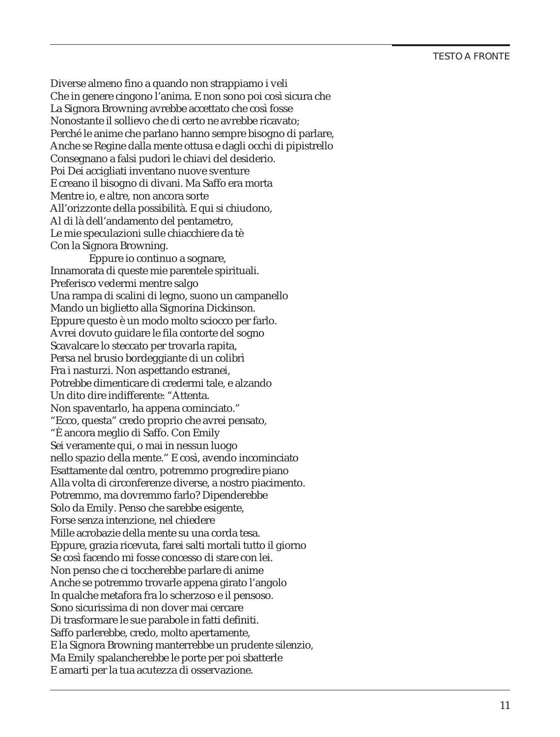Diverse almeno fino a quando non strappiamo i veli Che in genere cingono l'anima. E non sono poi così sicura che La Signora Browning avrebbe accettato che così fosse Nonostante il sollievo che di certo ne avrebbe ricavato; Perché le anime che parlano hanno sempre bisogno di parlare, Anche se Regine dalla mente ottusa e dagli occhi di pipistrello Consegnano a falsi pudori le chiavi del desiderio. Poi Dei accigliati inventano nuove sventure E creano il bisogno di divani. Ma Saffo era morta Mentre io, e altre, non ancora sorte All'orizzonte della possibilità. E qui si chiudono, Al di là dell'andamento del pentametro, Le mie speculazioni sulle chiacchiere da tè Con la Signora Browning.

 Eppure io continuo a sognare, Innamorata di queste mie parentele spirituali. Preferisco vedermi mentre salgo Una rampa di scalini di legno, suono un campanello Mando un biglietto alla Signorina Dickinson. Eppure questo è un modo molto sciocco per farlo. Avrei dovuto guidare le fila contorte del sogno Scavalcare lo steccato per trovarla rapita, Persa nel brusio bordeggiante di un colibrì Fra i nasturzi. Non aspettando estranei, Potrebbe dimenticare di credermi tale, e alzando Un dito dire indifferente: "Attenta. Non spaventarlo, ha appena cominciato." "Ecco, questa" credo proprio che avrei pensato, "È ancora meglio di Saffo. Con Emily Sei veramente qui, o mai in nessun luogo nello spazio della mente." E così, avendo incominciato Esattamente dal centro, potremmo progredire piano Alla volta di circonferenze diverse, a nostro piacimento. Potremmo, ma dovremmo farlo? Dipenderebbe Solo da Emily. Penso che sarebbe esigente, Forse senza intenzione, nel chiedere Mille acrobazie della mente su una corda tesa. Eppure, grazia ricevuta, farei salti mortali tutto il giorno Se così facendo mi fosse concesso di stare con lei. Non penso che ci toccherebbe parlare di anime Anche se potremmo trovarle appena girato l'angolo In qualche metafora fra lo scherzoso e il pensoso. Sono sicurissima di non dover mai cercare Di trasformare le sue parabole in fatti definiti. Saffo parlerebbe, credo, molto apertamente, E la Signora Browning manterrebbe un prudente silenzio, Ma Emily spalancherebbe le porte per poi sbatterle E amarti per la tua acutezza di osservazione.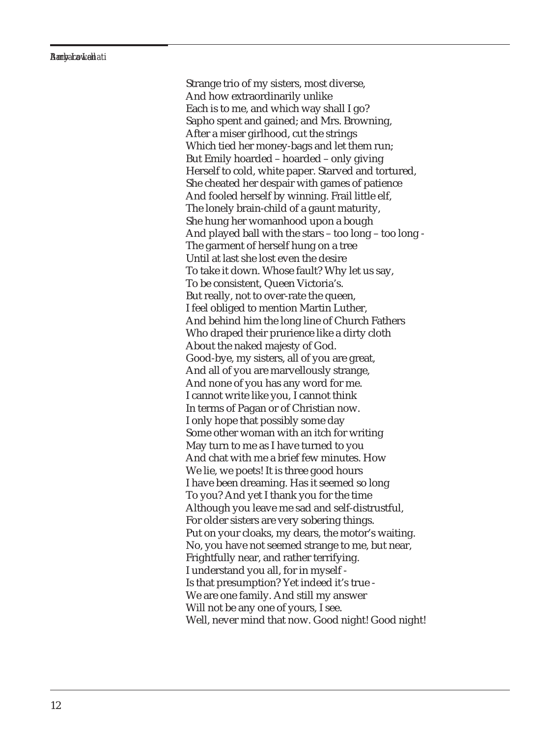## *Barbara Lanati Amy Lowell*

Strange trio of my sisters, most diverse, And how extraordinarily unlike Each is to me, and which way shall I go? Sapho spent and gained; and Mrs. Browning, After a miser girlhood, cut the strings Which tied her money-bags and let them run; But Emily hoarded – hoarded – only giving Herself to cold, white paper. Starved and tortured, She cheated her despair with games of patience And fooled herself by winning. Frail little elf, The lonely brain-child of a gaunt maturity, She hung her womanhood upon a bough And played ball with the stars – too long – too long - The garment of herself hung on a tree Until at last she lost even the desire To take it down. Whose fault? Why let us say, To be consistent, Queen Victoria's. But really, not to over-rate the queen, I feel obliged to mention Martin Luther, And behind him the long line of Church Fathers Who draped their prurience like a dirty cloth About the naked majesty of God. Good-bye, my sisters, all of you are great, And all of you are marvellously strange, And none of you has any word for me. I cannot write like you, I cannot think In terms of Pagan or of Christian now. I only hope that possibly some day Some other woman with an itch for writing May turn to me as I have turned to you And chat with me a brief few minutes. How We lie, we poets! It is three good hours I have been dreaming. Has it seemed so long To you? And yet I thank you for the time Although you leave me sad and self-distrustful, For older sisters are very sobering things. Put on your cloaks, my dears, the motor's waiting. No, you have not seemed strange to me, but near, Frightfully near, and rather terrifying. I understand you all, for in myself - Is that presumption? Yet indeed it's true - We are one family. And still my answer Will not be any one of yours, I see. Well, never mind that now. Good night! Good night!